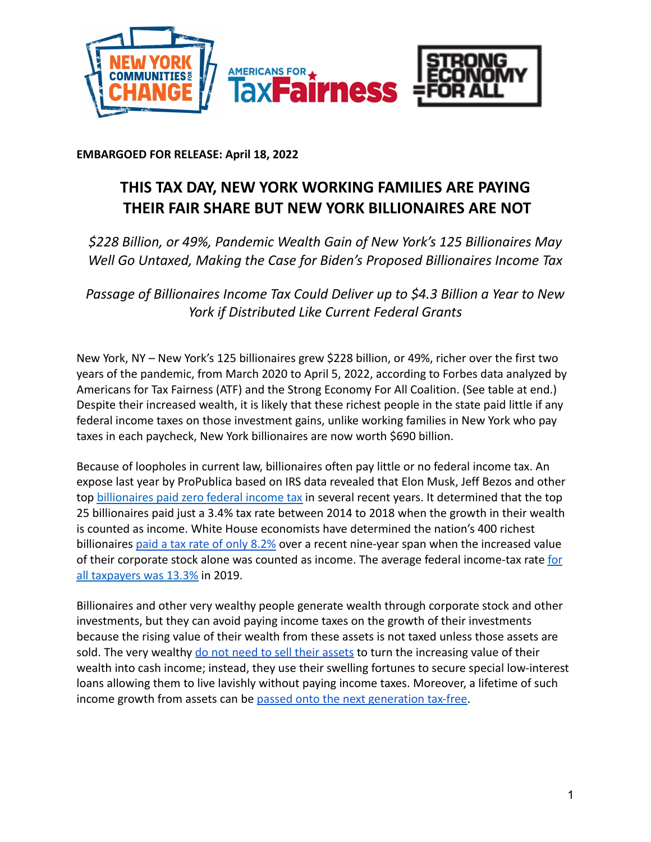

**EMBARGOED FOR RELEASE: April 18, 2022**

## **THIS TAX DAY, NEW YORK WORKING FAMILIES ARE PAYING THEIR FAIR SHARE BUT NEW YORK BILLIONAIRES ARE NOT**

*\$228 Billion, or 49%, Pandemic Wealth Gain of New York's 125 Billionaires May Well Go Untaxed, Making the Case for Biden's Proposed Billionaires Income Tax*

*Passage of Billionaires Income Tax Could Deliver up to \$4.3 Billion a Year to New York if Distributed Like Current Federal Grants*

New York, NY – New York's 125 billionaires grew \$228 billion, or 49%, richer over the first two years of the pandemic, from March 2020 to April 5, 2022, according to Forbes data analyzed by Americans for Tax Fairness (ATF) and the Strong Economy For All Coalition. (See table at end.) Despite their increased wealth, it is likely that these richest people in the state paid little if any federal income taxes on those investment gains, unlike working families in New York who pay taxes in each paycheck, New York billionaires are now worth \$690 billion.

Because of loopholes in current law, billionaires often pay little or no federal income tax. An expose last year by ProPublica based on IRS data revealed that Elon Musk, Jeff Bezos and other top [billionaires paid zero federal income tax](https://americansfortaxfairness.org/wp-content/uploads/ProPublica-Billionaires-Fact-Sheet-Updated.pdf) in several recent years. It determined that the top 25 billionaires paid just a 3.4% tax rate between 2014 to 2018 when the growth in their wealth is counted as income. White House economists have determined the nation's 400 richest billionaires [paid a tax rate of only 8.2%](https://www.whitehouse.gov/cea/written-materials/2021/09/23/what-is-the-average-federal-individual-income-tax-rate-on-the-wealthiest-americans/) over a recent nine-year span when the increased value of their corporate stock alone was counted as income. The average federal income-tax rate [for](https://taxfoundation.org/summary-latest-federal-income-tax-data-2022-update/) [all taxpayers was 13.3%](https://taxfoundation.org/summary-latest-federal-income-tax-data-2022-update/) in 2019.

Billionaires and other very wealthy people generate wealth through corporate stock and other investments, but they can avoid paying income taxes on the growth of their investments because the rising value of their wealth from these assets is not taxed unless those assets are sold. The very wealthy [do not need to sell their assets](https://www.wsj.com/articles/buy-borrow-die-how-rich-americans-live-off-their-paper-wealth-11625909583) to turn the increasing value of their wealth into cash income; instead, they use their swelling fortunes to secure special low-interest loans allowing them to live lavishly without paying income taxes. Moreover, a lifetime of such income growth from assets can be [passed onto the next](https://americansfortaxfairness.org/issue/stop-protecting-billionaires-close-stepped-basis-loophole/) generation tax-free.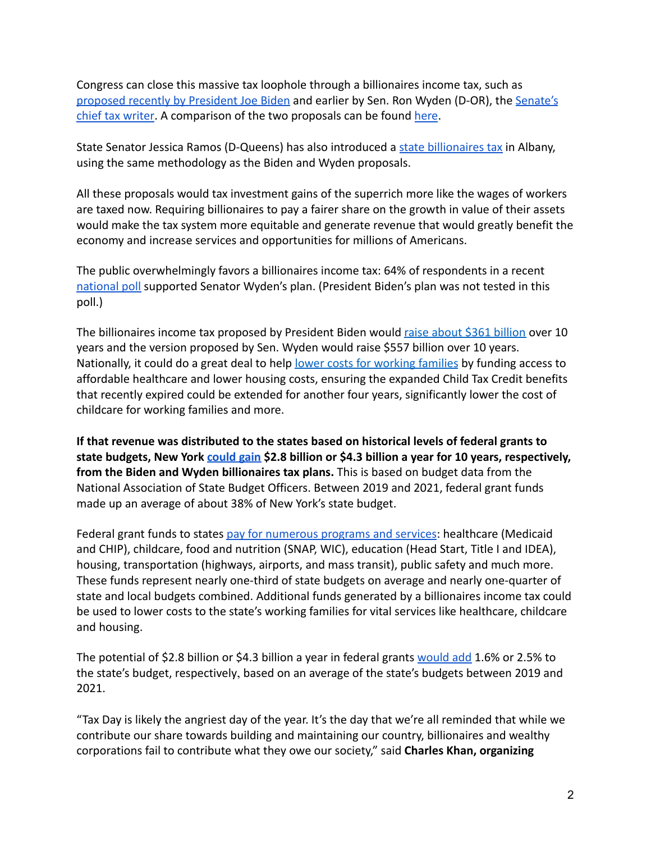Congress can close this massive tax loophole through a billionaires income tax, such as [proposed recently by President Joe Biden](https://www.whitehouse.gov/omb/briefing-room/2022/03/28/presidents-budget-rewards-work-not-wealth-with-new-billionaire-minimum-income-tax/) and earlier by Sen. Ron Wyden (D-OR), the [Senate's](https://www.finance.senate.gov/chairmans-news/wyden-unveils-billionaires-income-tax) [chief tax writer](https://www.finance.senate.gov/chairmans-news/wyden-unveils-billionaires-income-tax). A comparison of the two proposals can be found [here](https://americansfortaxfairness.org/issue/comparison-biden-wyden-billionaires-income-tax-proposals-short/).

State Senator Jessica Ramos (D-Queens) has also introduced a [state billionaires tax](https://www.nysenate.gov/legislation/bills/2021/s4482) in Albany, using the same methodology as the Biden and Wyden proposals.

All these proposals would tax investment gains of the superrich more like the wages of workers are taxed now. Requiring billionaires to pay a fairer share on the growth in value of their assets would make the tax system more equitable and generate revenue that would greatly benefit the economy and increase services and opportunities for millions of Americans.

The public overwhelmingly favors a billionaires income tax: 64% of respondents in a recen[t](https://docs.google.com/document/d/1AhWvucOLV2qY6izLkZvHpPig6DDmdFaCbmeM-5E65Xw/edit) [national poll](https://docs.google.com/document/d/1AhWvucOLV2qY6izLkZvHpPig6DDmdFaCbmeM-5E65Xw/edit) supported Senator Wyden's plan. (President Biden's plan was not tested in this poll.)

The billionaires income tax proposed by President Biden would [raise about \\$361 billion](https://americansfortaxfairness.org/issue/comparison-biden-wyden-billionaires-income-tax-proposals-short/) over 10 years and the version proposed by Sen. Wyden would raise \$557 billion over 10 years. Nationally, it could do a great deal to help lower [costs for working families](https://americansfortaxfairness.org/issue/6-ways-spend-revenue-billionaires-income-tax/) by funding access to affordable healthcare and lower housing costs, ensuring the expanded Child Tax Credit benefits that recently expired could be extended for another four years, significantly lower the cost of childcare for working families and more.

**If that revenue was distributed to the states based on historical levels of federal grants to state budgets, New York [could gain](https://docs.google.com/spreadsheets/d/1uMGQ0_Ow8ssIrktfYIvIQZwB44zOHf82ILpvh5kzWUI/edit?usp=sharing) \$2.8 billion or \$4.3 billion a year for 10 years, respectively, from the Biden and Wyden billionaires tax plans.** This is based on budget data from the National Association of State Budget Officers. Between 2019 and 2021, federal grant funds made up an average of about 38% of New York's state budget.

Federal grant funds to states [pay for numerous programs](https://www.cbpp.org/research/state-budget-and-tax/federal-aid-to-state-and-local-governments) and services: healthcare (Medicaid and CHIP), childcare, food and nutrition (SNAP, WIC), education (Head Start, Title I and IDEA), housing, transportation (highways, airports, and mass transit), public safety and much more. These funds represent nearly one-third of state budgets on average and nearly one-quarter of state and local budgets combined. Additional funds generated by a billionaires income tax could be used to lower costs to the state's working families for vital services like healthcare, childcare and housing.

The potential of \$2.8 billion or \$4.3 billion a year in federal grants [would add](https://docs.google.com/spreadsheets/d/1uMGQ0_Ow8ssIrktfYIvIQZwB44zOHf82ILpvh5kzWUI/edit?usp=sharing) 1.6% or 2.5% to the state's budget, respectively, based on an average of the state's budgets between 2019 and 2021.

"Tax Day is likely the angriest day of the year. It's the day that we're all reminded that while we contribute our share towards building and maintaining our country, billionaires and wealthy corporations fail to contribute what they owe our society," said **Charles Khan, organizing**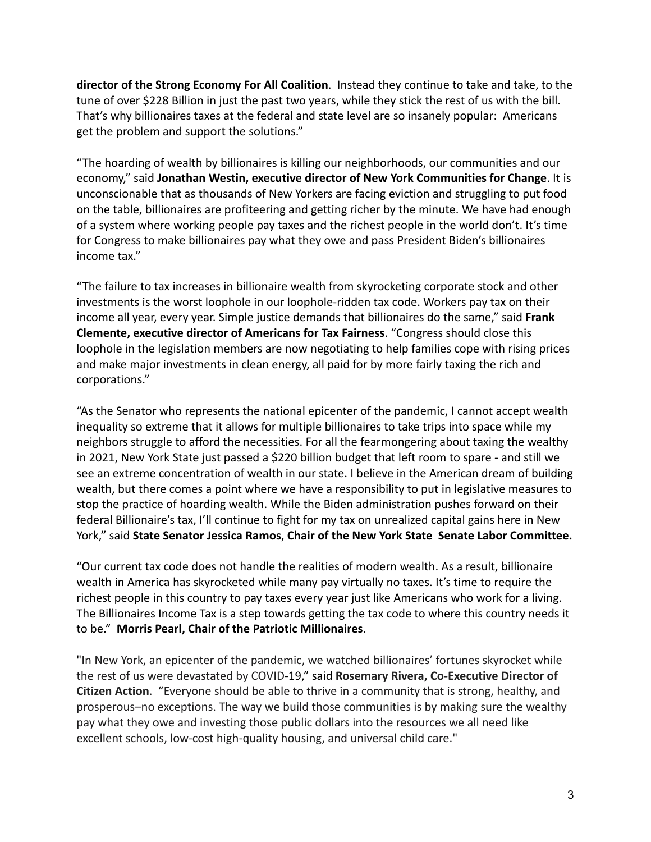**director of the Strong Economy For All Coalition**. Instead they continue to take and take, to the tune of over \$228 Billion in just the past two years, while they stick the rest of us with the bill. That's why billionaires taxes at the federal and state level are so insanely popular: Americans get the problem and support the solutions."

"The hoarding of wealth by billionaires is killing our neighborhoods, our communities and our economy," said **Jonathan Westin, executive director of New York Communities for Change**. It is unconscionable that as thousands of New Yorkers are facing eviction and struggling to put food on the table, billionaires are profiteering and getting richer by the minute. We have had enough of a system where working people pay taxes and the richest people in the world don't. It's time for Congress to make billionaires pay what they owe and pass President Biden's billionaires income tax."

"The failure to tax increases in billionaire wealth from skyrocketing corporate stock and other investments is the worst loophole in our loophole-ridden tax code. Workers pay tax on their income all year, every year. Simple justice demands that billionaires do the same," said **Frank Clemente, executive director of Americans for Tax Fairness**. "Congress should close this loophole in the legislation members are now negotiating to help families cope with rising prices and make major investments in clean energy, all paid for by more fairly taxing the rich and corporations."

"As the Senator who represents the national epicenter of the pandemic, I cannot accept wealth inequality so extreme that it allows for multiple billionaires to take trips into space while my neighbors struggle to afford the necessities. For all the fearmongering about taxing the wealthy in 2021, New York State just passed a \$220 billion budget that left room to spare - and still we see an extreme concentration of wealth in our state. I believe in the American dream of building wealth, but there comes a point where we have a responsibility to put in legislative measures to stop the practice of hoarding wealth. While the Biden administration pushes forward on their federal Billionaire's tax, I'll continue to fight for my tax on unrealized capital gains here in New York," said **State Senator Jessica Ramos**, **Chair of the New York State Senate Labor Committee.**

"Our current tax code does not handle the realities of modern wealth. As a result, billionaire wealth in America has skyrocketed while many pay virtually no taxes. It's time to require the richest people in this country to pay taxes every year just like Americans who work for a living. The Billionaires Income Tax is a step towards getting the tax code to where this country needs it to be." **Morris Pearl, Chair of the Patriotic Millionaires**.

"In New York, an epicenter of the pandemic, we watched billionaires' fortunes skyrocket while the rest of us were devastated by COVID-19," said **Rosemary Rivera, Co-Executive Director of Citizen Action**. "Everyone should be able to thrive in a community that is strong, healthy, and prosperous–no exceptions. The way we build those communities is by making sure the wealthy pay what they owe and investing those public dollars into the resources we all need like excellent schools, low-cost high-quality housing, and universal child care."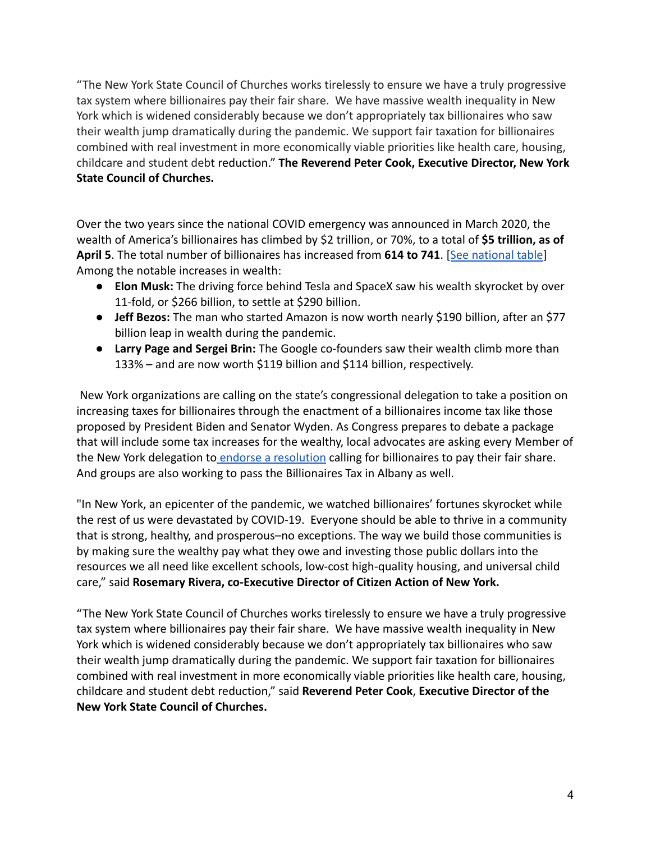"The New York State Council of Churches works tirelessly to ensure we have a truly progressive tax system where billionaires pay their fair share. We have massive wealth inequality in New York which is widened considerably because we don't appropriately tax billionaires who saw their wealth jump dramatically during the pandemic. We support fair taxation for billionaires combined with real investment in more economically viable priorities like health care, housing, childcare and student debt reduction." **The Reverend Peter Cook, Executive Director, New York State Council of Churches.**

Over the two years since the national COVID emergency was announced in March 2020, the wealth of America's billionaires has climbed by \$2 trillion, or 70%, to a total of **\$5 trillion, as of April 5**. The total number of billionaires has increased from **614 to 741**. [[See national table](https://docs.google.com/spreadsheets/d/1MksOhwmIojtZihAmPcfcYeaGoG3FOFZmiKUza1dIRD4/edit?usp=sharing)] Among the notable increases in wealth:

- **Elon Musk:** The driving force behind Tesla and SpaceX saw his wealth skyrocket by over 11-fold, or \$266 billion, to settle at \$290 billion.
- **Jeff Bezos:** The man who started Amazon is now worth nearly \$190 billion, after an \$77 billion leap in wealth during the pandemic.
- **Larry Page and Sergei Brin:** The Google co-founders saw their wealth climb more than 133% – and are now worth \$119 billion and \$114 billion, respectively.

New York organizations are calling on the state's congressional delegation to take a position on increasing taxes for billionaires through the enactment of a billionaires income tax like those proposed by President Biden and Senator Wyden. As Congress prepares to debate a package that will include some tax increases for the wealthy, local advocates are asking every Member of the New York delegation to [endorse a resolution](https://americansfortaxfairness.org/wp-content/uploads/4.13-final-final-resolution.pdf) calling for billionaires to pay their fair share. And groups are also working to pass the Billionaires Tax in Albany as well.

"In New York, an epicenter of the pandemic, we watched billionaires' fortunes skyrocket while the rest of us were devastated by COVID-19. Everyone should be able to thrive in a community that is strong, healthy, and prosperous–no exceptions. The way we build those communities is by making sure the wealthy pay what they owe and investing those public dollars into the resources we all need like excellent schools, low-cost high-quality housing, and universal child care," said **Rosemary Rivera, co-Executive Director of Citizen Action of New York.**

"The New York State Council of Churches works tirelessly to ensure we have a truly progressive tax system where billionaires pay their fair share. We have massive wealth inequality in New York which is widened considerably because we don't appropriately tax billionaires who saw their wealth jump dramatically during the pandemic. We support fair taxation for billionaires combined with real investment in more economically viable priorities like health care, housing, childcare and student debt reduction," said **Reverend Peter Cook**, **Executive Director of the New York State Council of Churches.**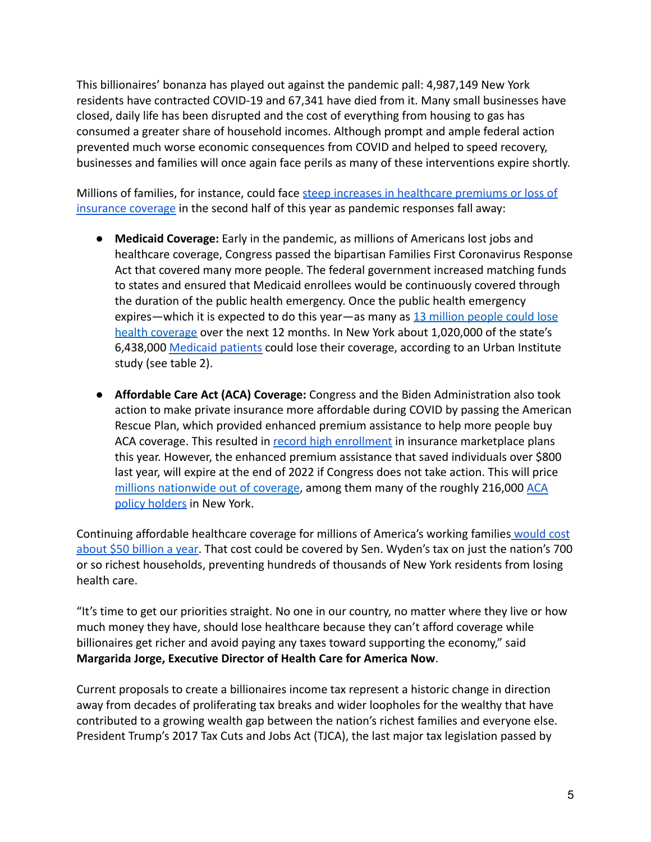This billionaires' bonanza has played out against the pandemic pall: 4,987,149 New York residents have contracted COVID-19 and 67,341 have died from it. Many small businesses have closed, daily life has been disrupted and the cost of everything from housing to gas has consumed a greater share of household incomes. Although prompt and ample federal action prevented much worse economic consequences from COVID and helped to speed recovery, businesses and families will once again face perils as many of these interventions expire shortly.

Millions of families, for instance, could face steep [increases in healthcare premiums or loss of](https://www.nytimes.com/2022/04/04/opinion/covid-medicaid-loss.html) [insurance coverage](https://www.nytimes.com/2022/04/04/opinion/covid-medicaid-loss.html) in the second half of this year as pandemic responses fall away:

- **Medicaid Coverage:** Early in the pandemic, as millions of Americans lost jobs and healthcare coverage, Congress passed the bipartisan Families First Coronavirus Response Act that covered many more people. The federal government increased matching funds to states and ensured that Medicaid enrollees would be continuously covered through the duration of the public health emergency. Once the public health emergency expires—which it is expected to do this year—as many as [13 million people could lose](https://www.urban.org/sites/default/files/2022-03/what-will-happen-to-medicaid-enrollees-health-coverage-after-the-public-health-emergency_1_1.pdf) [health coverage](https://www.urban.org/sites/default/files/2022-03/what-will-happen-to-medicaid-enrollees-health-coverage-after-the-public-health-emergency_1_1.pdf) over the next 12 months. In New York about 1,020,000 of the state's 6,438,000 [Medicaid patients](https://www.medicaid.gov/medicaid/program-information/medicaid-and-chip-enrollment-data/report-highlights/index.html) could lose their coverage, according to an Urban Institute study (see table 2).
- **Affordable Care Act (ACA) Coverage:** Congress and the Biden Administration also took action to make private insurance more affordable during COVID by passing the American Rescue Plan, which provided enhanced premium assistance to help more people buy ACA coverage. This resulted in [record high enrollment](https://www.whitehouse.gov/briefing-room/statements-releases/2022/03/10/during-week-of-anniversary-of-american-rescue-plan-biden-harris-administration-highlights-health-insurance-subsidies-that-promoted-critical-increases-in-enrollment-and-cost-savings/) in insurance marketplace plans this year. However, the enhanced premium assistance that saved individuals over \$800 last year, will expire at the end of 2022 if Congress does not take action. This will pric[e](https://tcf.org/content/commentary/american-rescue-plans-premium-assistance-must-made-permanent/?agreed=1) [millions nationwide out of coverage](https://tcf.org/content/commentary/american-rescue-plans-premium-assistance-must-made-permanent/?agreed=1), among them many of the roughly 216,000 [ACA](https://www.kff.org/health-reform/state-indicator/marketplace-enrollment/?currentTimeframe=0&sortModel=%7B%22colId%22:%22Location%22,%22sort%22:%22asc%22%7D) [policy holders](https://www.kff.org/health-reform/state-indicator/marketplace-enrollment/?currentTimeframe=0&sortModel=%7B%22colId%22:%22Location%22,%22sort%22:%22asc%22%7D) in New York.

Continuing affordable healthcare coverage for millions of America's working families [would cost](https://www.cbo.gov/system/files/2021-12/57673-BBBA-GrahamSmith-Letter.pdf) [about \\$50 billion a year.](https://www.cbo.gov/system/files/2021-12/57673-BBBA-GrahamSmith-Letter.pdf) That cost could be covered by Sen. Wyden's tax on just the nation's 700 or so richest households, preventing hundreds of thousands of New York residents from losing health care.

"It's time to get our priorities straight. No one in our country, no matter where they live or how much money they have, should lose healthcare because they can't afford coverage while billionaires get richer and avoid paying any taxes toward supporting the economy," said **Margarida Jorge, Executive Director of Health Care for America Now**.

Current proposals to create a billionaires income tax represent a historic change in direction away from decades of proliferating tax breaks and wider loopholes for the wealthy that have contributed to a growing wealth gap between the nation's richest families and everyone else. President Trump's 2017 Tax Cuts and Jobs Act (TJCA), the last major tax legislation passed by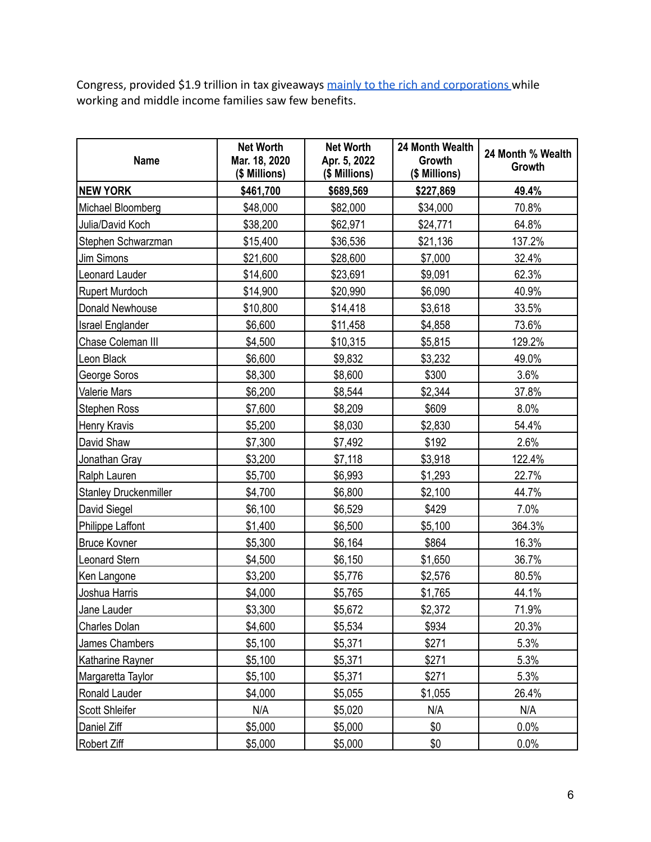Congress, provided \$1.9 trillion in tax giveaways [mainly to the rich and corporations](https://americansfortaxfairness.org/issue/chartbook-trump-gop-tax-cuts-failing-workers-economy/) while working and middle income families saw few benefits.

| <b>Name</b>                  | <b>Net Worth</b><br>Mar. 18, 2020<br>(\$ Millions) | <b>Net Worth</b><br>Apr. 5, 2022<br>(\$ Millions) | 24 Month Wealth<br>Growth<br>(\$ Millions) | 24 Month % Wealth<br>Growth |
|------------------------------|----------------------------------------------------|---------------------------------------------------|--------------------------------------------|-----------------------------|
| <b>NEW YORK</b>              | \$461,700                                          | \$689,569                                         | \$227,869                                  | 49.4%                       |
| Michael Bloomberg            | \$48,000                                           | \$82,000                                          | \$34,000                                   | 70.8%                       |
| Julia/David Koch             | \$38,200                                           | \$62,971                                          | \$24,771                                   | 64.8%                       |
| Stephen Schwarzman           | \$15,400                                           | \$36,536                                          | \$21,136                                   | 137.2%                      |
| Jim Simons                   | \$21,600                                           | \$28,600                                          | \$7,000                                    | 32.4%                       |
| Leonard Lauder               | \$14,600                                           | \$23,691                                          | \$9,091                                    | 62.3%                       |
| <b>Rupert Murdoch</b>        | \$14,900                                           | \$20,990                                          | \$6,090                                    | 40.9%                       |
| Donald Newhouse              | \$10,800                                           | \$14,418                                          | \$3,618                                    | 33.5%                       |
| <b>Israel Englander</b>      | \$6,600                                            | \$11,458                                          | \$4,858                                    | 73.6%                       |
| Chase Coleman III            | \$4,500                                            | \$10,315                                          | \$5,815                                    | 129.2%                      |
| Leon Black                   | \$6,600                                            | \$9,832                                           | \$3,232                                    | 49.0%                       |
| George Soros                 | \$8,300                                            | \$8,600                                           | \$300                                      | 3.6%                        |
| Valerie Mars                 | \$6,200                                            | \$8,544                                           | \$2,344                                    | 37.8%                       |
| <b>Stephen Ross</b>          | \$7,600                                            | \$8,209                                           | \$609                                      | 8.0%                        |
| Henry Kravis                 | \$5,200                                            | \$8,030                                           | \$2,830                                    | 54.4%                       |
| David Shaw                   | \$7,300                                            | \$7,492                                           | \$192                                      | 2.6%                        |
| Jonathan Gray                | \$3,200                                            | \$7,118                                           | \$3,918                                    | 122.4%                      |
| Ralph Lauren                 | \$5,700                                            | \$6,993                                           | \$1,293                                    | 22.7%                       |
| <b>Stanley Druckenmiller</b> | \$4,700                                            | \$6,800                                           | \$2,100                                    | 44.7%                       |
| David Siegel                 | \$6,100                                            | \$6,529                                           | \$429                                      | 7.0%                        |
| Philippe Laffont             | \$1,400                                            | \$6,500                                           | \$5,100                                    | 364.3%                      |
| <b>Bruce Kovner</b>          | \$5,300                                            | \$6,164                                           | \$864                                      | 16.3%                       |
| Leonard Stern                | \$4,500                                            | \$6,150                                           | \$1,650                                    | 36.7%                       |
| Ken Langone                  | \$3,200                                            | \$5,776                                           | \$2,576                                    | 80.5%                       |
| Joshua Harris                | \$4,000                                            | \$5,765                                           | \$1,765                                    | 44.1%                       |
| Jane Lauder                  | \$3,300                                            | \$5,672                                           | \$2,372                                    | 71.9%                       |
| Charles Dolan                | \$4,600                                            | \$5,534                                           | \$934                                      | 20.3%                       |
| James Chambers               | \$5,100                                            | \$5,371                                           | \$271                                      | 5.3%                        |
| Katharine Rayner             | \$5,100                                            | \$5,371                                           | \$271                                      | 5.3%                        |
| Margaretta Taylor            | \$5,100                                            | \$5,371                                           | \$271                                      | 5.3%                        |
| Ronald Lauder                | \$4,000                                            | \$5,055                                           | \$1,055                                    | 26.4%                       |
| Scott Shleifer               | N/A                                                | \$5,020                                           | N/A                                        | N/A                         |
| Daniel Ziff                  | \$5,000                                            | \$5,000                                           | \$0                                        | 0.0%                        |
| Robert Ziff                  | \$5,000                                            | \$5,000                                           | \$0                                        | 0.0%                        |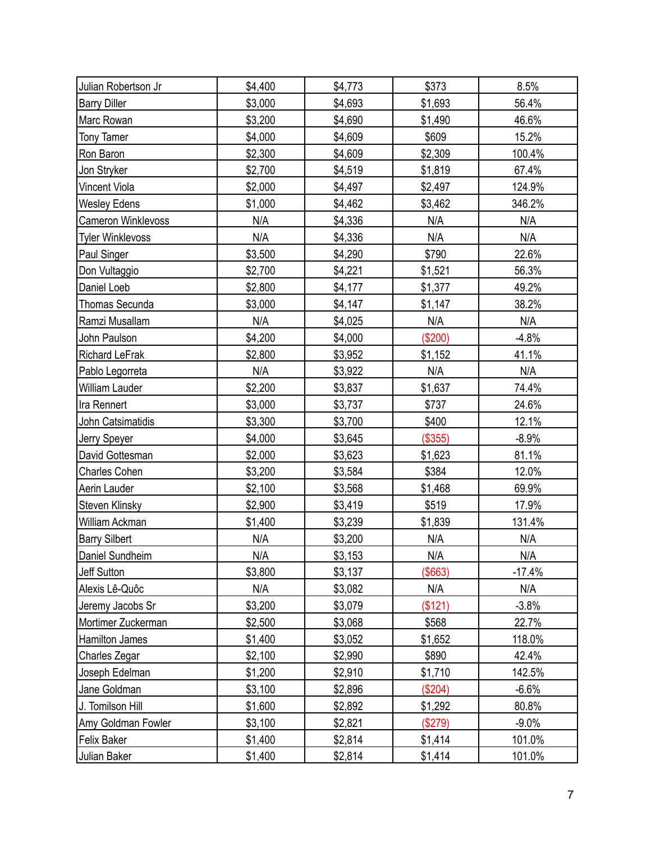| Julian Robertson Jr     | \$4,400 | \$4,773 | \$373     | 8.5%     |
|-------------------------|---------|---------|-----------|----------|
| <b>Barry Diller</b>     | \$3,000 | \$4,693 | \$1,693   | 56.4%    |
| Marc Rowan              | \$3,200 | \$4,690 | \$1,490   | 46.6%    |
| <b>Tony Tamer</b>       | \$4,000 | \$4,609 | \$609     | 15.2%    |
| Ron Baron               | \$2,300 | \$4,609 | \$2,309   | 100.4%   |
| Jon Stryker             | \$2,700 | \$4,519 | \$1,819   | 67.4%    |
| Vincent Viola           | \$2,000 | \$4,497 | \$2,497   | 124.9%   |
| <b>Wesley Edens</b>     | \$1,000 | \$4,462 | \$3,462   | 346.2%   |
| Cameron Winklevoss      | N/A     | \$4,336 | N/A       | N/A      |
| <b>Tyler Winklevoss</b> | N/A     | \$4,336 | N/A       | N/A      |
| Paul Singer             | \$3,500 | \$4,290 | \$790     | 22.6%    |
| Don Vultaggio           | \$2,700 | \$4,221 | \$1,521   | 56.3%    |
| Daniel Loeb             | \$2,800 | \$4,177 | \$1,377   | 49.2%    |
| Thomas Secunda          | \$3,000 | \$4,147 | \$1,147   | 38.2%    |
| Ramzi Musallam          | N/A     | \$4,025 | N/A       | N/A      |
| John Paulson            | \$4,200 | \$4,000 | (\$200)   | $-4.8%$  |
| Richard LeFrak          | \$2,800 | \$3,952 | \$1,152   | 41.1%    |
| Pablo Legorreta         | N/A     | \$3,922 | N/A       | N/A      |
| William Lauder          | \$2,200 | \$3,837 | \$1,637   | 74.4%    |
| Ira Rennert             | \$3,000 | \$3,737 | \$737     | 24.6%    |
| John Catsimatidis       | \$3,300 | \$3,700 | \$400     | 12.1%    |
| Jerry Speyer            | \$4,000 | \$3,645 | (\$355)   | $-8.9%$  |
| David Gottesman         | \$2,000 | \$3,623 | \$1,623   | 81.1%    |
| <b>Charles Cohen</b>    | \$3,200 | \$3,584 | \$384     | 12.0%    |
| Aerin Lauder            | \$2,100 | \$3,568 | \$1,468   | 69.9%    |
| Steven Klinsky          | \$2,900 | \$3,419 | \$519     | 17.9%    |
| William Ackman          | \$1,400 | \$3,239 | \$1,839   | 131.4%   |
| <b>Barry Silbert</b>    | N/A     | \$3,200 | N/A       | N/A      |
| Daniel Sundheim         | N/A     | \$3,153 | N/A       | N/A      |
| Jeff Sutton             | \$3,800 | \$3,137 | (\$663)   | $-17.4%$ |
| Alexis Lê-Quôc          | N/A     | \$3,082 | N/A       | N/A      |
| Jeremy Jacobs Sr        | \$3,200 | \$3,079 | (\$121)   | $-3.8%$  |
| Mortimer Zuckerman      | \$2,500 | \$3,068 | \$568     | 22.7%    |
| <b>Hamilton James</b>   | \$1,400 | \$3,052 | \$1,652   | 118.0%   |
| Charles Zegar           | \$2,100 | \$2,990 | \$890     | 42.4%    |
| Joseph Edelman          | \$1,200 | \$2,910 | \$1,710   | 142.5%   |
| Jane Goldman            | \$3,100 | \$2,896 | $(\$204)$ | $-6.6%$  |
| J. Tomilson Hill        | \$1,600 | \$2,892 | \$1,292   | 80.8%    |
| Amy Goldman Fowler      | \$3,100 | \$2,821 | (\$279)   | $-9.0\%$ |
| <b>Felix Baker</b>      | \$1,400 | \$2,814 | \$1,414   | 101.0%   |
| Julian Baker            | \$1,400 | \$2,814 | \$1,414   | 101.0%   |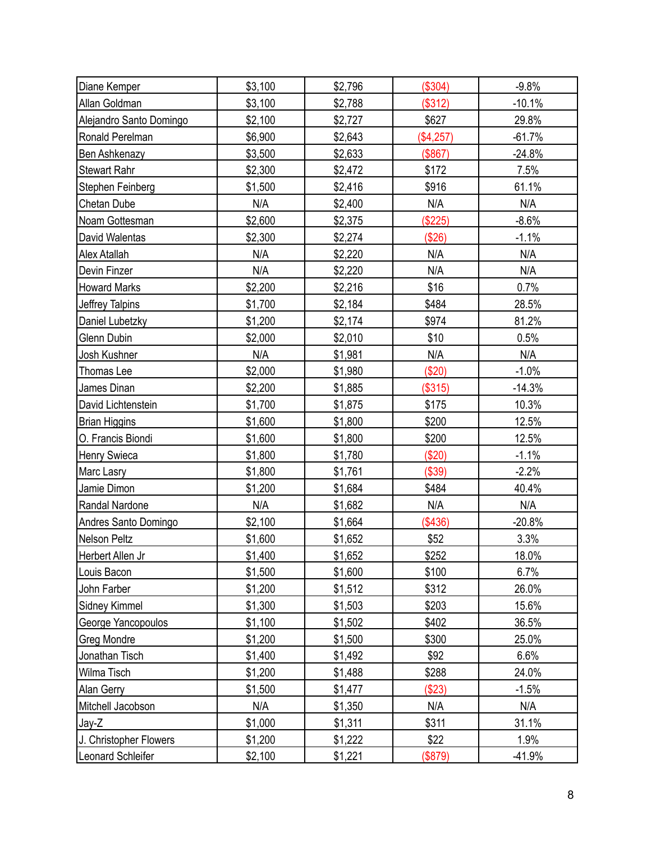| Diane Kemper            | \$3,100 | \$2,796 | (\$304)   | $-9.8%$  |
|-------------------------|---------|---------|-----------|----------|
| Allan Goldman           | \$3,100 | \$2,788 | (\$312)   | $-10.1%$ |
| Alejandro Santo Domingo | \$2,100 | \$2,727 | \$627     | 29.8%    |
| Ronald Perelman         | \$6,900 | \$2,643 | (\$4,257) | $-61.7%$ |
| Ben Ashkenazy           | \$3,500 | \$2,633 | (\$867)   | $-24.8%$ |
| <b>Stewart Rahr</b>     | \$2,300 | \$2,472 | \$172     | 7.5%     |
| Stephen Feinberg        | \$1,500 | \$2,416 | \$916     | 61.1%    |
| Chetan Dube             | N/A     | \$2,400 | N/A       | N/A      |
| Noam Gottesman          | \$2,600 | \$2,375 | (\$225)   | $-8.6%$  |
| David Walentas          | \$2,300 | \$2,274 | (\$26)    | $-1.1%$  |
| Alex Atallah            | N/A     | \$2,220 | N/A       | N/A      |
| Devin Finzer            | N/A     | \$2,220 | N/A       | N/A      |
| <b>Howard Marks</b>     | \$2,200 | \$2,216 | \$16      | 0.7%     |
| Jeffrey Talpins         | \$1,700 | \$2,184 | \$484     | 28.5%    |
| Daniel Lubetzky         | \$1,200 | \$2,174 | \$974     | 81.2%    |
| Glenn Dubin             | \$2,000 | \$2,010 | \$10      | 0.5%     |
| Josh Kushner            | N/A     | \$1,981 | N/A       | N/A      |
| Thomas Lee              | \$2,000 | \$1,980 | (\$20)    | $-1.0%$  |
| James Dinan             | \$2,200 | \$1,885 | (\$315)   | $-14.3%$ |
| David Lichtenstein      | \$1,700 | \$1,875 | \$175     | 10.3%    |
| <b>Brian Higgins</b>    | \$1,600 | \$1,800 | \$200     | 12.5%    |
| O. Francis Biondi       | \$1,600 | \$1,800 | \$200     | 12.5%    |
| Henry Swieca            | \$1,800 | \$1,780 | (\$20)    | $-1.1%$  |
| <b>Marc Lasry</b>       | \$1,800 | \$1,761 | (\$39)    | $-2.2%$  |
| Jamie Dimon             | \$1,200 | \$1,684 | \$484     | 40.4%    |
| Randal Nardone          | N/A     | \$1,682 | N/A       | N/A      |
| Andres Santo Domingo    | \$2,100 | \$1,664 | (\$436)   | $-20.8%$ |
| Nelson Peltz            | \$1,600 | \$1,652 | \$52      | 3.3%     |
| Herbert Allen Jr        | \$1,400 | \$1,652 | \$252     | 18.0%    |
| Louis Bacon             | \$1,500 | \$1,600 | \$100     | 6.7%     |
| John Farber             | \$1,200 | \$1,512 | \$312     | 26.0%    |
| Sidney Kimmel           | \$1,300 | \$1,503 | \$203     | 15.6%    |
| George Yancopoulos      | \$1,100 | \$1,502 | \$402     | 36.5%    |
| <b>Greg Mondre</b>      | \$1,200 | \$1,500 | \$300     | 25.0%    |
| Jonathan Tisch          | \$1,400 | \$1,492 | \$92      | 6.6%     |
| Wilma Tisch             | \$1,200 | \$1,488 | \$288     | 24.0%    |
| Alan Gerry              | \$1,500 | \$1,477 | (\$23)    | $-1.5%$  |
| Mitchell Jacobson       | N/A     | \$1,350 | N/A       | N/A      |
| Jay-Z                   | \$1,000 | \$1,311 | \$311     | 31.1%    |
| J. Christopher Flowers  | \$1,200 | \$1,222 | \$22      | 1.9%     |
| Leonard Schleifer       | \$2,100 | \$1,221 | (\$879)   | $-41.9%$ |